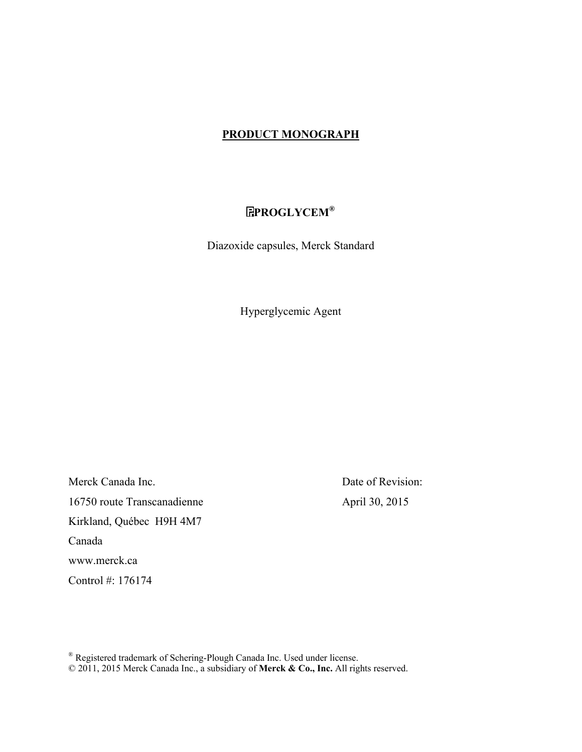## **PRODUCT MONOGRAPH**

# **PROGLYCEM®**

Diazoxide capsules, Merck Standard

Hyperglycemic Agent

Merck Canada Inc. Date of Revision: 16750 route Transcanadienne April 30, 2015 Kirkland, Québec H9H 4M7 Canada www.merck.ca Control #: 176174

® Registered trademark of Schering-Plough Canada Inc. Used under license. © 2011, 2015 Merck Canada Inc., a subsidiary of **Merck & Co., Inc.** All rights reserved.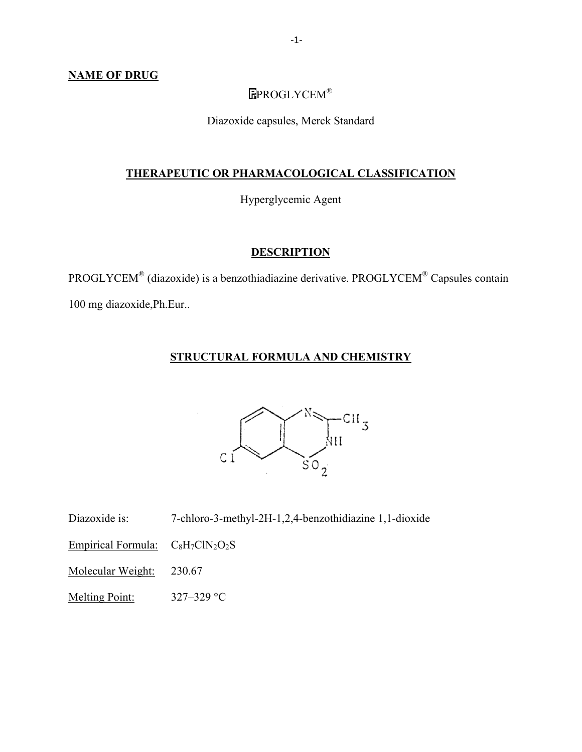### **NAME OF DRUG**

# EPROGLYCEM®

Diazoxide capsules, Merck Standard

# **THERAPEUTIC OR PHARMACOLOGICAL CLASSIFICATION**

Hyperglycemic Agent

## **DESCRIPTION**

PROGLYCEM® (diazoxide) is a benzothiadiazine derivative. PROGLYCEM® Capsules contain 100 mg diazoxide,Ph.Eur..

## **STRUCTURAL FORMULA AND CHEMISTRY**



Diazoxide is: 7-chloro-3-methyl-2H-1,2,4-benzothidiazine 1,1-dioxide

Empirical Formula:  $C_8H_7CIN_2O_2S$ 

Molecular Weight: 230.67

Melting Point: 327–329 °C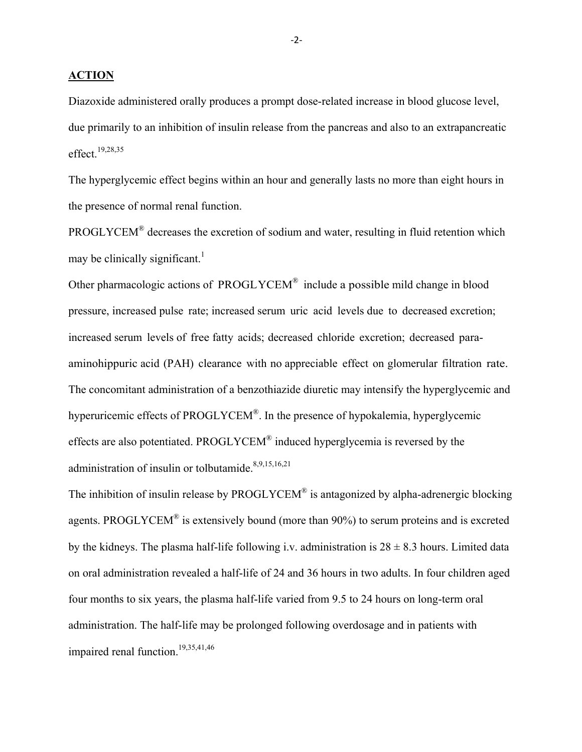**ACTION**

Diazoxide administered orally produces a prompt dose-related increase in blood glucose level, due primarily to an inhibition of insulin release from the pancreas and also to an extrapancreatic effect.19,28,35

The hyperglycemic effect begins within an hour and generally lasts no more than eight hours in the presence of normal renal function.

PROGLYCEM<sup>®</sup> decreases the excretion of sodium and water, resulting in fluid retention which may be clinically significant.<sup>1</sup>

Other pharmacologic actions of PROGLYCEM® include a possible mild change in blood pressure, increased pulse rate; increased serum uric acid levels due to decreased excretion; increased serum levels of free fatty acids; decreased chloride excretion; decreased paraaminohippuric acid (PAH) clearance with no appreciable effect on glomerular filtration rate. The concomitant administration of a benzothiazide diuretic may intensify the hyperglycemic and hyperuricemic effects of PROGLYCEM®. In the presence of hypokalemia, hyperglycemic effects are also potentiated. PROGLYCEM® induced hyperglycemia is reversed by the administration of insulin or tolbutamide. $8,9,15,16,21$ 

The inhibition of insulin release by PROGLYCEM<sup>®</sup> is antagonized by alpha-adrenergic blocking agents. PROGLYCEM® is extensively bound (more than 90%) to serum proteins and is excreted by the kidneys. The plasma half-life following i.v. administration is  $28 \pm 8.3$  hours. Limited data on oral administration revealed a half-life of 24 and 36 hours in two adults. In four children aged four months to six years, the plasma half-life varied from 9.5 to 24 hours on long-term oral administration. The half-life may be prolonged following overdosage and in patients with impaired renal function.<sup>19,35,41,46</sup>

 $-2$ -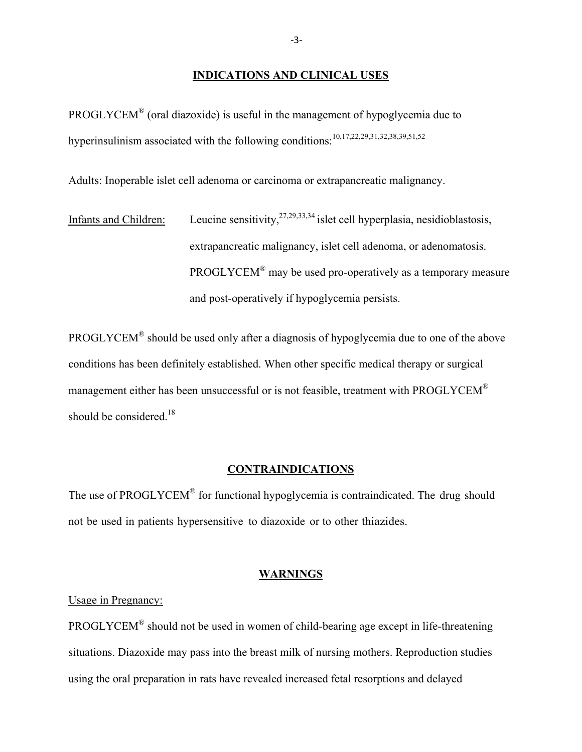#### **INDICATIONS AND CLINICAL USES**

PROGLYCEM® (oral diazoxide) is useful in the management of hypoglycemia due to hyperinsulinism associated with the following conditions:<sup>10,17,22,29,31,32,38,39,51,52</sup>

Adults: Inoperable islet cell adenoma or carcinoma or extrapancreatic malignancy.

Infants and Children: Leucine sensitivity,  $27,29,33,34$  islet cell hyperplasia, nesidioblastosis, extrapancreatic malignancy, islet cell adenoma, or adenomatosis. PROGLYCEM® may be used pro-operatively as a temporary measure and post-operatively if hypoglycemia persists.

PROGLYCEM® should be used only after a diagnosis of hypoglycemia due to one of the above conditions has been definitely established. When other specific medical therapy or surgical management either has been unsuccessful or is not feasible, treatment with PROGLYCEM<sup>®</sup> should be considered.<sup>18</sup>

### **CONTRAINDICATIONS**

The use of PROGLYCEM<sup>®</sup> for functional hypoglycemia is contraindicated. The drug should not be used in patients hypersensitive to diazoxide or to other thiazides.

### **WARNINGS**

Usage in Pregnancy:

PROGLYCEM® should not be used in women of child-bearing age except in life-threatening situations. Diazoxide may pass into the breast milk of nursing mothers. Reproduction studies using the oral preparation in rats have revealed increased fetal resorptions and delayed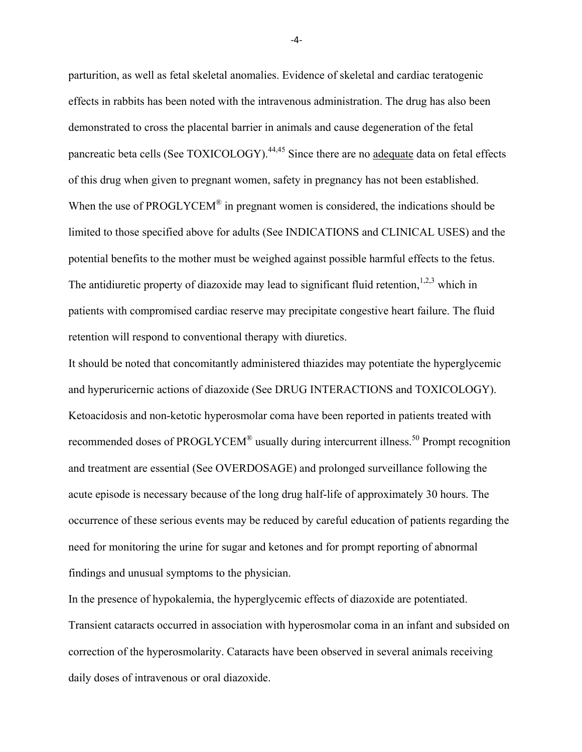parturition, as well as fetal skeletal anomalies. Evidence of skeletal and cardiac teratogenic effects in rabbits has been noted with the intravenous administration. The drug has also been demonstrated to cross the placental barrier in animals and cause degeneration of the fetal pancreatic beta cells (See TOXICOLOGY).<sup>44,45</sup> Since there are no adequate data on fetal effects of this drug when given to pregnant women, safety in pregnancy has not been established. When the use of PROGLYCEM<sup>®</sup> in pregnant women is considered, the indications should be limited to those specified above for adults (See INDICATIONS and CLINICAL USES) and the potential benefits to the mother must be weighed against possible harmful effects to the fetus. The antidiuretic property of diazoxide may lead to significant fluid retention,<sup>1,2,3</sup> which in patients with compromised cardiac reserve may precipitate congestive heart failure. The fluid retention will respond to conventional therapy with diuretics.

It should be noted that concomitantly administered thiazides may potentiate the hyperglycemic and hyperuricernic actions of diazoxide (See DRUG INTERACTIONS and TOXICOLOGY). Ketoacidosis and non-ketotic hyperosmolar coma have been reported in patients treated with recommended doses of PROGLYCEM<sup>®</sup> usually during intercurrent illness.<sup>50</sup> Prompt recognition and treatment are essential (See OVERDOSAGE) and prolonged surveillance following the acute episode is necessary because of the long drug half-life of approximately 30 hours. The occurrence of these serious events may be reduced by careful education of patients regarding the need for monitoring the urine for sugar and ketones and for prompt reporting of abnormal findings and unusual symptoms to the physician.

In the presence of hypokalemia, the hyperglycemic effects of diazoxide are potentiated. Transient cataracts occurred in association with hyperosmolar coma in an infant and subsided on correction of the hyperosmolarity. Cataracts have been observed in several animals receiving daily doses of intravenous or oral diazoxide.

 $-4$ -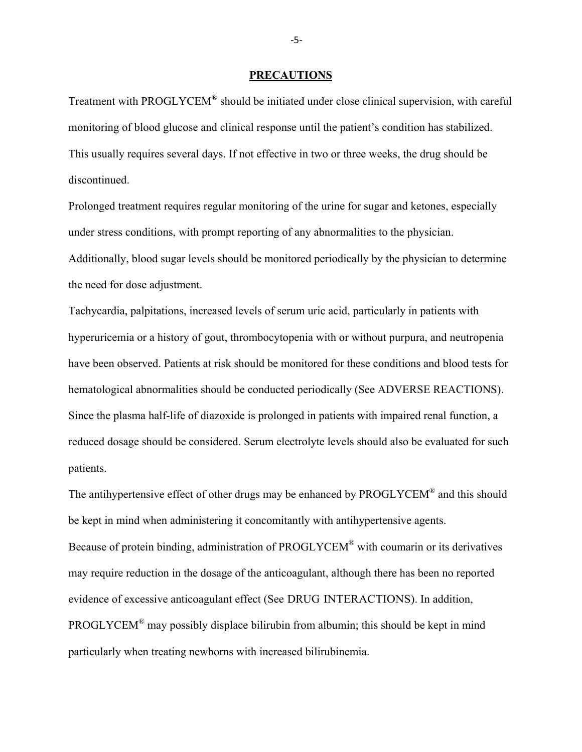#### **PRECAUTIONS**

Treatment with PROGLYCEM® should be initiated under close clinical supervision, with careful monitoring of blood glucose and clinical response until the patient's condition has stabilized. This usually requires several days. If not effective in two or three weeks, the drug should be discontinued.

Prolonged treatment requires regular monitoring of the urine for sugar and ketones, especially under stress conditions, with prompt reporting of any abnormalities to the physician. Additionally, blood sugar levels should be monitored periodically by the physician to determine the need for dose adjustment.

Tachycardia, palpitations, increased levels of serum uric acid, particularly in patients with hyperuricemia or a history of gout, thrombocytopenia with or without purpura, and neutropenia have been observed. Patients at risk should be monitored for these conditions and blood tests for hematological abnormalities should be conducted periodically (See ADVERSE REACTIONS). Since the plasma half-life of diazoxide is prolonged in patients with impaired renal function, a reduced dosage should be considered. Serum electrolyte levels should also be evaluated for such patients.

The antihypertensive effect of other drugs may be enhanced by PROGLYCEM<sup>®</sup> and this should be kept in mind when administering it concomitantly with antihypertensive agents. Because of protein binding, administration of PROGLYCEM® with coumarin or its derivatives may require reduction in the dosage of the anticoagulant, although there has been no reported evidence of excessive anticoagulant effect (See DRUG INTERACTIONS). In addition,  $PROGLYCEM<sup>®</sup>$  may possibly displace bilirubin from albumin; this should be kept in mind particularly when treating newborns with increased bilirubinemia.

‐5‐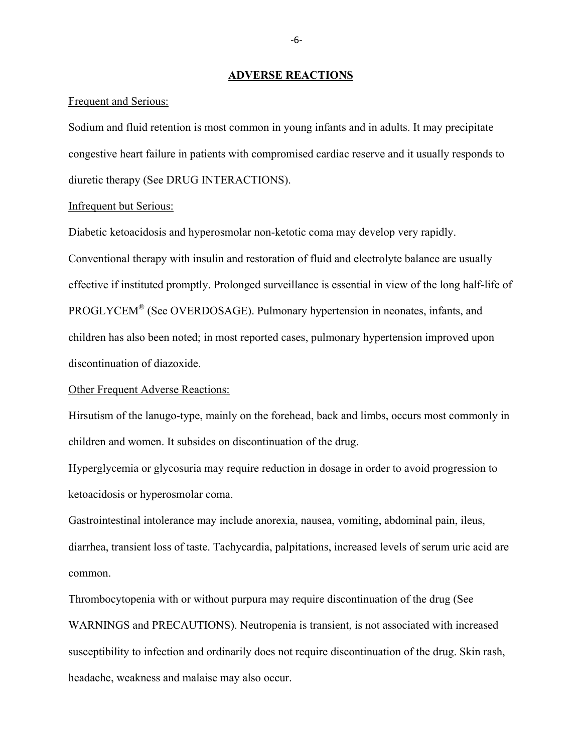#### **ADVERSE REACTIONS**

#### Frequent and Serious:

Sodium and fluid retention is most common in young infants and in adults. It may precipitate congestive heart failure in patients with compromised cardiac reserve and it usually responds to diuretic therapy (See DRUG INTERACTIONS).

#### Infrequent but Serious:

Diabetic ketoacidosis and hyperosmolar non-ketotic coma may develop very rapidly. Conventional therapy with insulin and restoration of fluid and electrolyte balance are usually effective if instituted promptly. Prolonged surveillance is essential in view of the long half-life of PROGLYCEM® (See OVERDOSAGE). Pulmonary hypertension in neonates, infants, and children has also been noted; in most reported cases, pulmonary hypertension improved upon discontinuation of diazoxide.

### Other Frequent Adverse Reactions:

Hirsutism of the lanugo-type, mainly on the forehead, back and limbs, occurs most commonly in children and women. It subsides on discontinuation of the drug.

Hyperglycemia or glycosuria may require reduction in dosage in order to avoid progression to ketoacidosis or hyperosmolar coma.

Gastrointestinal intolerance may include anorexia, nausea, vomiting, abdominal pain, ileus, diarrhea, transient loss of taste. Tachycardia, palpitations, increased levels of serum uric acid are common.

Thrombocytopenia with or without purpura may require discontinuation of the drug (See WARNINGS and PRECAUTIONS). Neutropenia is transient, is not associated with increased susceptibility to infection and ordinarily does not require discontinuation of the drug. Skin rash, headache, weakness and malaise may also occur.

‐6‐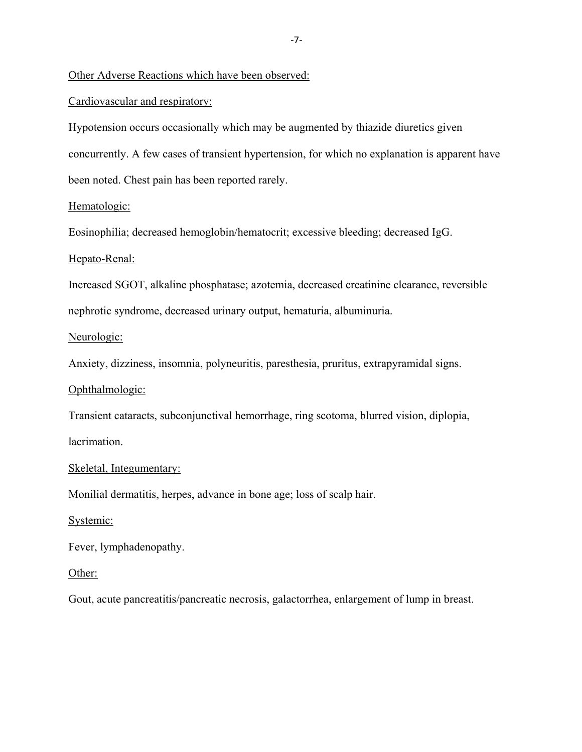Other Adverse Reactions which have been observed:

Cardiovascular and respiratory:

Hypotension occurs occasionally which may be augmented by thiazide diuretics given concurrently. A few cases of transient hypertension, for which no explanation is apparent have been noted. Chest pain has been reported rarely.

### Hematologic:

Eosinophilia; decreased hemoglobin/hematocrit; excessive bleeding; decreased IgG.

### Hepato-Renal:

Increased SGOT, alkaline phosphatase; azotemia, decreased creatinine clearance, reversible nephrotic syndrome, decreased urinary output, hematuria, albuminuria.

### Neurologic:

Anxiety, dizziness, insomnia, polyneuritis, paresthesia, pruritus, extrapyramidal signs.

### Ophthalmologic:

Transient cataracts, subconjunctival hemorrhage, ring scotoma, blurred vision, diplopia, lacrimation.

### Skeletal, Integumentary:

Monilial dermatitis, herpes, advance in bone age; loss of scalp hair.

### Systemic:

Fever, lymphadenopathy.

### Other:

Gout, acute pancreatitis/pancreatic necrosis, galactorrhea, enlargement of lump in breast.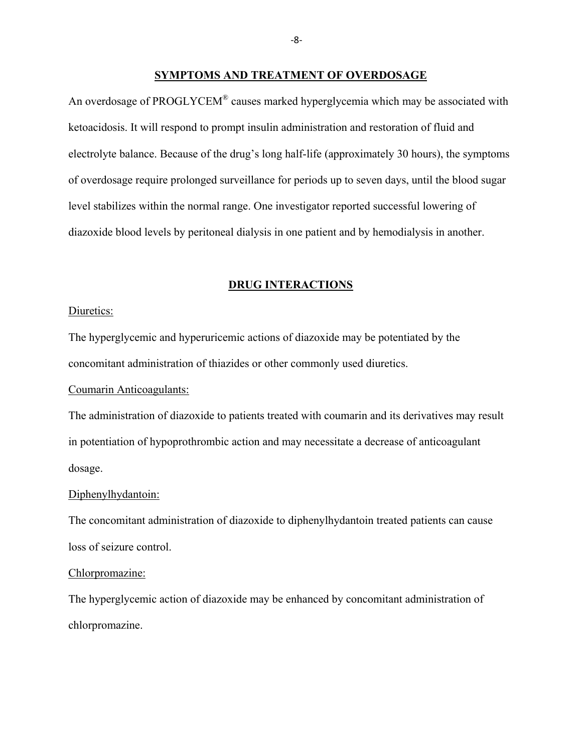#### **SYMPTOMS AND TREATMENT OF OVERDOSAGE**

An overdosage of PROGLYCEM<sup>®</sup> causes marked hyperglycemia which may be associated with ketoacidosis. It will respond to prompt insulin administration and restoration of fluid and electrolyte balance. Because of the drug's long half-life (approximately 30 hours), the symptoms of overdosage require prolonged surveillance for periods up to seven days, until the blood sugar level stabilizes within the normal range. One investigator reported successful lowering of diazoxide blood levels by peritoneal dialysis in one patient and by hemodialysis in another.

### **DRUG INTERACTIONS**

#### Diuretics:

The hyperglycemic and hyperuricemic actions of diazoxide may be potentiated by the concomitant administration of thiazides or other commonly used diuretics.

### Coumarin Anticoagulants:

The administration of diazoxide to patients treated with coumarin and its derivatives may result in potentiation of hypoprothrombic action and may necessitate a decrease of anticoagulant dosage.

#### Diphenylhydantoin:

The concomitant administration of diazoxide to diphenylhydantoin treated patients can cause loss of seizure control.

### Chlorpromazine:

The hyperglycemic action of diazoxide may be enhanced by concomitant administration of chlorpromazine.

 $-8$ -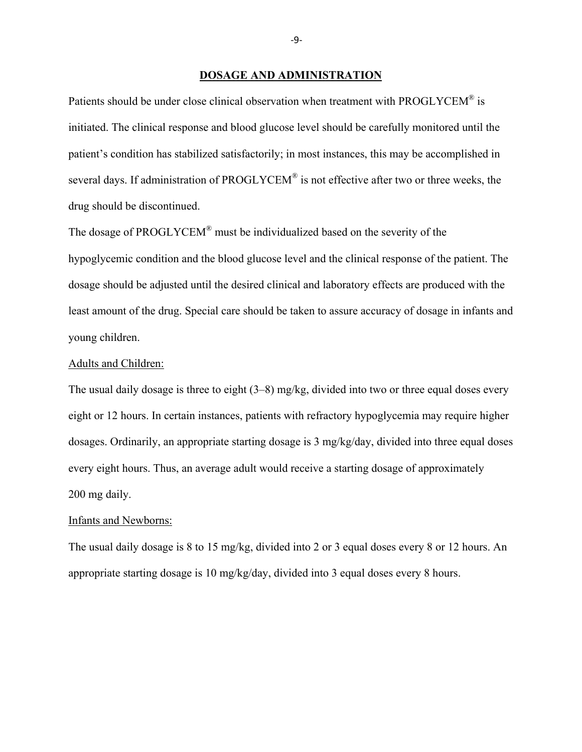#### **DOSAGE AND ADMINISTRATION**

Patients should be under close clinical observation when treatment with PROGLYCEM<sup>®</sup> is initiated. The clinical response and blood glucose level should be carefully monitored until the patient's condition has stabilized satisfactorily; in most instances, this may be accomplished in several days. If administration of PROGLYCEM® is not effective after two or three weeks, the drug should be discontinued.

The dosage of PROGLYCEM® must be individualized based on the severity of the hypoglycemic condition and the blood glucose level and the clinical response of the patient. The dosage should be adjusted until the desired clinical and laboratory effects are produced with the least amount of the drug. Special care should be taken to assure accuracy of dosage in infants and young children.

### Adults and Children:

The usual daily dosage is three to eight (3–8) mg/kg, divided into two or three equal doses every eight or 12 hours. In certain instances, patients with refractory hypoglycemia may require higher dosages. Ordinarily, an appropriate starting dosage is 3 mg/kg/day, divided into three equal doses every eight hours. Thus, an average adult would receive a starting dosage of approximately 200 mg daily.

#### Infants and Newborns:

The usual daily dosage is 8 to 15 mg/kg, divided into 2 or 3 equal doses every 8 or 12 hours. An appropriate starting dosage is 10 mg/kg/day, divided into 3 equal doses every 8 hours.

‐9‐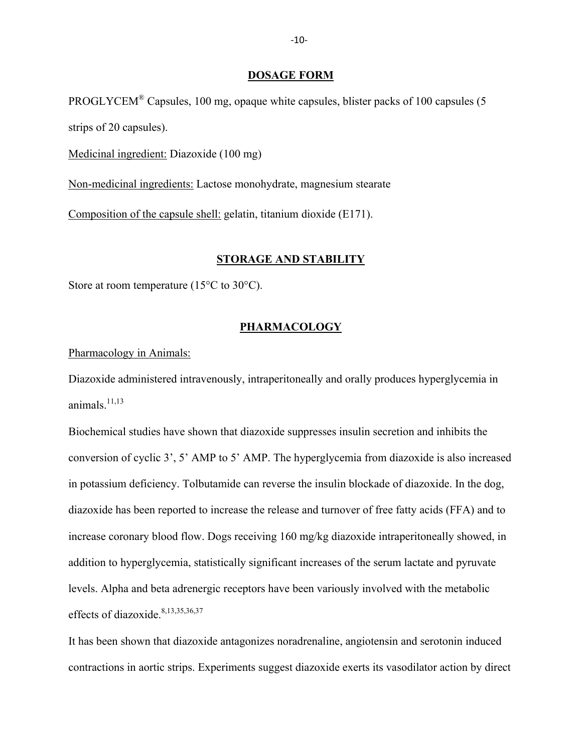### **DOSAGE FORM**

PROGLYCEM® Capsules, 100 mg, opaque white capsules, blister packs of 100 capsules (5 strips of 20 capsules).

Medicinal ingredient: Diazoxide (100 mg)

Non-medicinal ingredients: Lactose monohydrate, magnesium stearate

Composition of the capsule shell: gelatin, titanium dioxide (E171).

### **STORAGE AND STABILITY**

Store at room temperature (15<sup>o</sup>C to 30<sup>o</sup>C).

### **PHARMACOLOGY**

Pharmacology in Animals:

Diazoxide administered intravenously, intraperitoneally and orally produces hyperglycemia in animals. $11,13$ 

Biochemical studies have shown that diazoxide suppresses insulin secretion and inhibits the conversion of cyclic 3', 5' AMP to 5' AMP. The hyperglycemia from diazoxide is also increased in potassium deficiency. Tolbutamide can reverse the insulin blockade of diazoxide. In the dog, diazoxide has been reported to increase the release and turnover of free fatty acids (FFA) and to increase coronary blood flow. Dogs receiving 160 mg/kg diazoxide intraperitoneally showed, in addition to hyperglycemia, statistically significant increases of the serum lactate and pyruvate levels. Alpha and beta adrenergic receptors have been variously involved with the metabolic effects of diazoxide.<sup>8,13,35,36,37</sup>

It has been shown that diazoxide antagonizes noradrenaline, angiotensin and serotonin induced contractions in aortic strips. Experiments suggest diazoxide exerts its vasodilator action by direct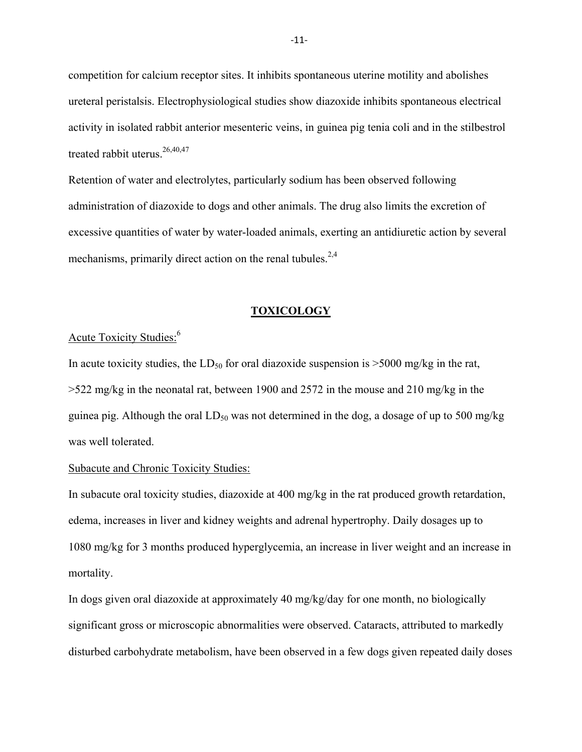competition for calcium receptor sites. It inhibits spontaneous uterine motility and abolishes ureteral peristalsis. Electrophysiological studies show diazoxide inhibits spontaneous electrical activity in isolated rabbit anterior mesenteric veins, in guinea pig tenia coli and in the stilbestrol treated rabbit uterus.<sup>26,40,47</sup>

Retention of water and electrolytes, particularly sodium has been observed following administration of diazoxide to dogs and other animals. The drug also limits the excretion of excessive quantities of water by water-loaded animals, exerting an antidiuretic action by several mechanisms, primarily direct action on the renal tubules.<sup>2,4</sup>

#### **TOXICOLOGY**

# Acute Toxicity Studies:<sup>6</sup>

In acute toxicity studies, the  $LD_{50}$  for oral diazoxide suspension is  $>5000$  mg/kg in the rat, >522 mg/kg in the neonatal rat, between 1900 and 2572 in the mouse and 210 mg/kg in the guinea pig. Although the oral  $LD_{50}$  was not determined in the dog, a dosage of up to 500 mg/kg was well tolerated.

#### Subacute and Chronic Toxicity Studies:

In subacute oral toxicity studies, diazoxide at 400 mg/kg in the rat produced growth retardation, edema, increases in liver and kidney weights and adrenal hypertrophy. Daily dosages up to 1080 mg/kg for 3 months produced hyperglycemia, an increase in liver weight and an increase in mortality.

In dogs given oral diazoxide at approximately 40 mg/kg/day for one month, no biologically significant gross or microscopic abnormalities were observed. Cataracts, attributed to markedly disturbed carbohydrate metabolism, have been observed in a few dogs given repeated daily doses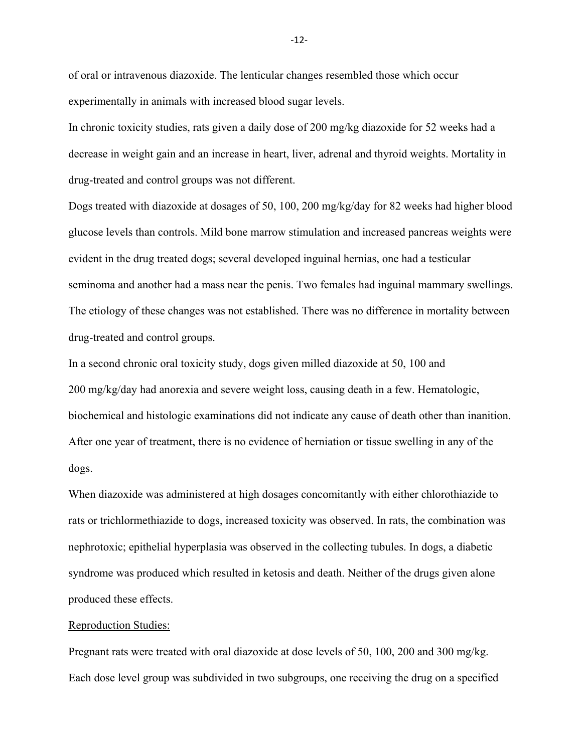of oral or intravenous diazoxide. The lenticular changes resembled those which occur experimentally in animals with increased blood sugar levels.

In chronic toxicity studies, rats given a daily dose of 200 mg/kg diazoxide for 52 weeks had a decrease in weight gain and an increase in heart, liver, adrenal and thyroid weights. Mortality in drug-treated and control groups was not different.

Dogs treated with diazoxide at dosages of 50, 100, 200 mg/kg/day for 82 weeks had higher blood glucose levels than controls. Mild bone marrow stimulation and increased pancreas weights were evident in the drug treated dogs; several developed inguinal hernias, one had a testicular seminoma and another had a mass near the penis. Two females had inguinal mammary swellings. The etiology of these changes was not established. There was no difference in mortality between drug-treated and control groups.

In a second chronic oral toxicity study, dogs given milled diazoxide at 50, 100 and 200 mg/kg/day had anorexia and severe weight loss, causing death in a few. Hematologic, biochemical and histologic examinations did not indicate any cause of death other than inanition. After one year of treatment, there is no evidence of herniation or tissue swelling in any of the dogs.

When diazoxide was administered at high dosages concomitantly with either chlorothiazide to rats or trichlormethiazide to dogs, increased toxicity was observed. In rats, the combination was nephrotoxic; epithelial hyperplasia was observed in the collecting tubules. In dogs, a diabetic syndrome was produced which resulted in ketosis and death. Neither of the drugs given alone produced these effects.

#### Reproduction Studies:

Pregnant rats were treated with oral diazoxide at dose levels of 50, 100, 200 and 300 mg/kg. Each dose level group was subdivided in two subgroups, one receiving the drug on a specified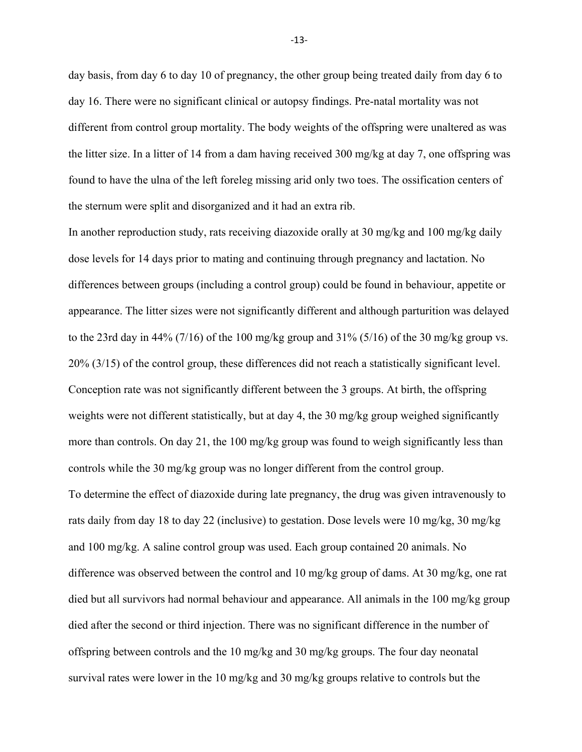day basis, from day 6 to day 10 of pregnancy, the other group being treated daily from day 6 to day 16. There were no significant clinical or autopsy findings. Pre-natal mortality was not different from control group mortality. The body weights of the offspring were unaltered as was the litter size. In a litter of 14 from a dam having received 300 mg/kg at day 7, one offspring was found to have the ulna of the left foreleg missing arid only two toes. The ossification centers of the sternum were split and disorganized and it had an extra rib.

In another reproduction study, rats receiving diazoxide orally at 30 mg/kg and 100 mg/kg daily dose levels for 14 days prior to mating and continuing through pregnancy and lactation. No differences between groups (including a control group) could be found in behaviour, appetite or appearance. The litter sizes were not significantly different and although parturition was delayed to the 23rd day in 44% (7/16) of the 100 mg/kg group and  $31\%$  (5/16) of the 30 mg/kg group vs. 20% (3/15) of the control group, these differences did not reach a statistically significant level. Conception rate was not significantly different between the 3 groups. At birth, the offspring weights were not different statistically, but at day 4, the 30 mg/kg group weighed significantly more than controls. On day 21, the 100 mg/kg group was found to weigh significantly less than controls while the 30 mg/kg group was no longer different from the control group. To determine the effect of diazoxide during late pregnancy, the drug was given intravenously to rats daily from day 18 to day 22 (inclusive) to gestation. Dose levels were 10 mg/kg, 30 mg/kg and 100 mg/kg. A saline control group was used. Each group contained 20 animals. No difference was observed between the control and 10 mg/kg group of dams. At 30 mg/kg, one rat died but all survivors had normal behaviour and appearance. All animals in the 100 mg/kg group died after the second or third injection. There was no significant difference in the number of offspring between controls and the 10 mg/kg and 30 mg/kg groups. The four day neonatal survival rates were lower in the 10 mg/kg and 30 mg/kg groups relative to controls but the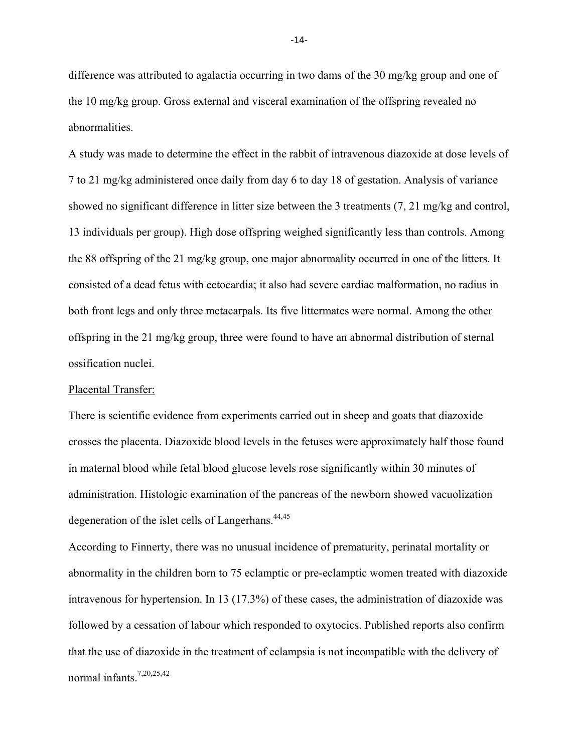difference was attributed to agalactia occurring in two dams of the 30 mg/kg group and one of the 10 mg/kg group. Gross external and visceral examination of the offspring revealed no abnormalities.

A study was made to determine the effect in the rabbit of intravenous diazoxide at dose levels of 7 to 21 mg/kg administered once daily from day 6 to day 18 of gestation. Analysis of variance showed no significant difference in litter size between the 3 treatments (7, 21 mg/kg and control, 13 individuals per group). High dose offspring weighed significantly less than controls. Among the 88 offspring of the 21 mg/kg group, one major abnormality occurred in one of the litters. It consisted of a dead fetus with ectocardia; it also had severe cardiac malformation, no radius in both front legs and only three metacarpals. Its five littermates were normal. Among the other offspring in the 21 mg/kg group, three were found to have an abnormal distribution of sternal ossification nuclei.

#### Placental Transfer:

There is scientific evidence from experiments carried out in sheep and goats that diazoxide crosses the placenta. Diazoxide blood levels in the fetuses were approximately half those found in maternal blood while fetal blood glucose levels rose significantly within 30 minutes of administration. Histologic examination of the pancreas of the newborn showed vacuolization degeneration of the islet cells of Langerhans. $44,45$ 

According to Finnerty, there was no unusual incidence of prematurity, perinatal mortality or abnormality in the children born to 75 eclamptic or pre-eclamptic women treated with diazoxide intravenous for hypertension. In 13 (17.3%) of these cases, the administration of diazoxide was followed by a cessation of labour which responded to oxytocics. Published reports also confirm that the use of diazoxide in the treatment of eclampsia is not incompatible with the delivery of normal infants  $7,20,25,42$ 

 $-14$ -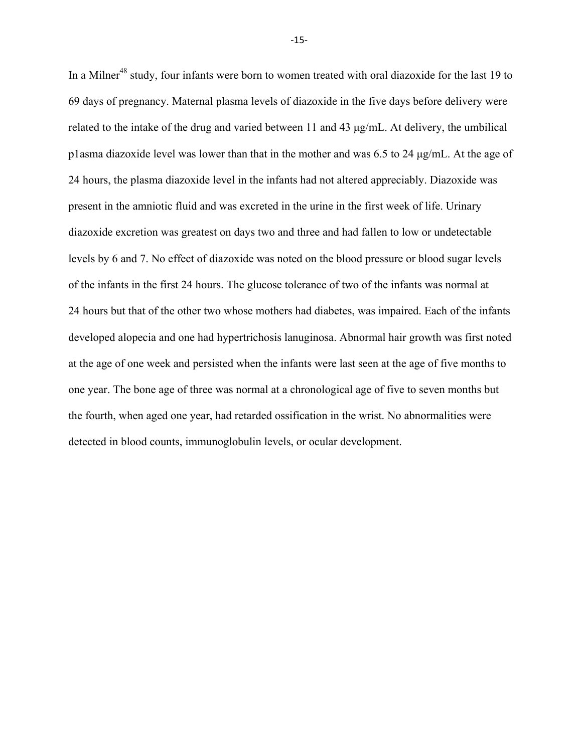In a Milner<sup>48</sup> study, four infants were born to women treated with oral diazoxide for the last 19 to 69 days of pregnancy. Maternal plasma levels of diazoxide in the five days before delivery were related to the intake of the drug and varied between 11 and 43 μg/mL. At delivery, the umbilical p1asma diazoxide level was lower than that in the mother and was 6.5 to 24 μg/mL. At the age of 24 hours, the plasma diazoxide level in the infants had not altered appreciably. Diazoxide was present in the amniotic fluid and was excreted in the urine in the first week of life. Urinary diazoxide excretion was greatest on days two and three and had fallen to low or undetectable levels by 6 and 7. No effect of diazoxide was noted on the blood pressure or blood sugar levels of the infants in the first 24 hours. The glucose tolerance of two of the infants was normal at 24 hours but that of the other two whose mothers had diabetes, was impaired. Each of the infants developed alopecia and one had hypertrichosis lanuginosa. Abnormal hair growth was first noted at the age of one week and persisted when the infants were last seen at the age of five months to one year. The bone age of three was normal at a chronological age of five to seven months but the fourth, when aged one year, had retarded ossification in the wrist. No abnormalities were detected in blood counts, immunoglobulin levels, or ocular development.

 $-15$ -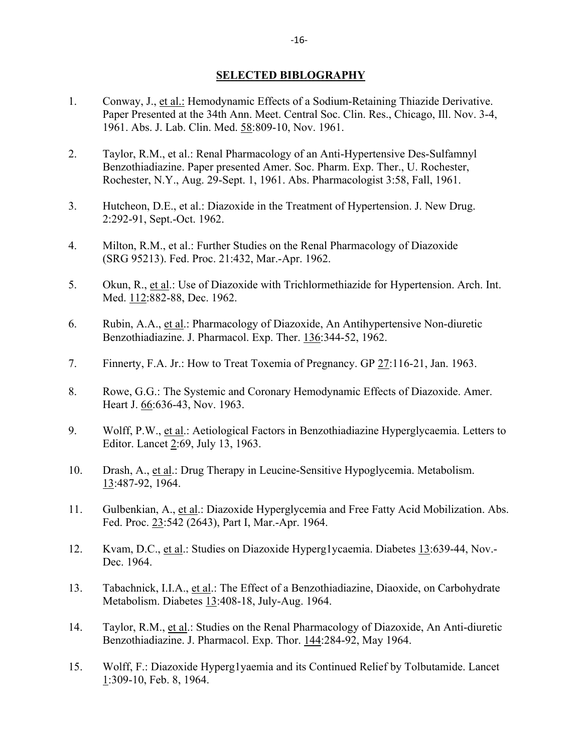### **SELECTED BIBLOGRAPHY**

- 1. Conway, J., et al.: Hemodynamic Effects of a Sodium-Retaining Thiazide Derivative. Paper Presented at the 34th Ann. Meet. Central Soc. Clin. Res., Chicago, Ill. Nov. 3-4, 1961. Abs. J. Lab. Clin. Med. 58:809-10, Nov. 1961.
- 2. Taylor, R.M., et al.: Renal Pharmacology of an Anti-Hypertensive Des-Sulfamnyl Benzothiadiazine. Paper presented Amer. Soc. Pharm. Exp. Ther., U. Rochester, Rochester, N.Y., Aug. 29-Sept. 1, 1961. Abs. Pharmacologist 3:58, Fall, 1961.
- 3. Hutcheon, D.E., et al.: Diazoxide in the Treatment of Hypertension. J. New Drug. 2:292-91, Sept.-Oct. 1962.
- 4. Milton, R.M., et al.: Further Studies on the Renal Pharmacology of Diazoxide (SRG 95213). Fed. Proc. 21:432, Mar.-Apr. 1962.
- 5. Okun, R., et al.: Use of Diazoxide with Trichlormethiazide for Hypertension. Arch. Int. Med. 112:882-88, Dec. 1962.
- 6. Rubin, A.A., et al.: Pharmacology of Diazoxide, An Antihypertensive Non-diuretic Benzothiadiazine. J. Pharmacol. Exp. Ther. 136:344-52, 1962.
- 7. Finnerty, F.A. Jr.: How to Treat Toxemia of Pregnancy. GP 27:116-21, Jan. 1963.
- 8. Rowe, G.G.: The Systemic and Coronary Hemodynamic Effects of Diazoxide. Amer. Heart J. 66:636-43, Nov. 1963.
- 9. Wolff, P.W., et al.: Aetiological Factors in Benzothiadiazine Hyperglycaemia. Letters to Editor. Lancet 2:69, July 13, 1963.
- 10. Drash, A., et al.: Drug Therapy in Leucine-Sensitive Hypoglycemia. Metabolism. 13:487-92, 1964.
- 11. Gulbenkian, A., et al.: Diazoxide Hyperglycemia and Free Fatty Acid Mobilization. Abs. Fed. Proc. 23:542 (2643), Part I, Mar.-Apr. 1964.
- 12. Kvam, D.C., et al.: Studies on Diazoxide Hyperg1ycaemia. Diabetes 13:639-44, Nov.- Dec. 1964.
- 13. Tabachnick, I.I.A., et al.: The Effect of a Benzothiadiazine, Diaoxide, on Carbohydrate Metabolism. Diabetes 13:408-18, July-Aug. 1964.
- 14. Taylor, R.M., et al.: Studies on the Renal Pharmacology of Diazoxide, An Anti-diuretic Benzothiadiazine. J. Pharmacol. Exp. Thor. 144:284-92, May 1964.
- 15. Wolff, F.: Diazoxide Hyperg1yaemia and its Continued Relief by Tolbutamide. Lancet 1:309-10, Feb. 8, 1964.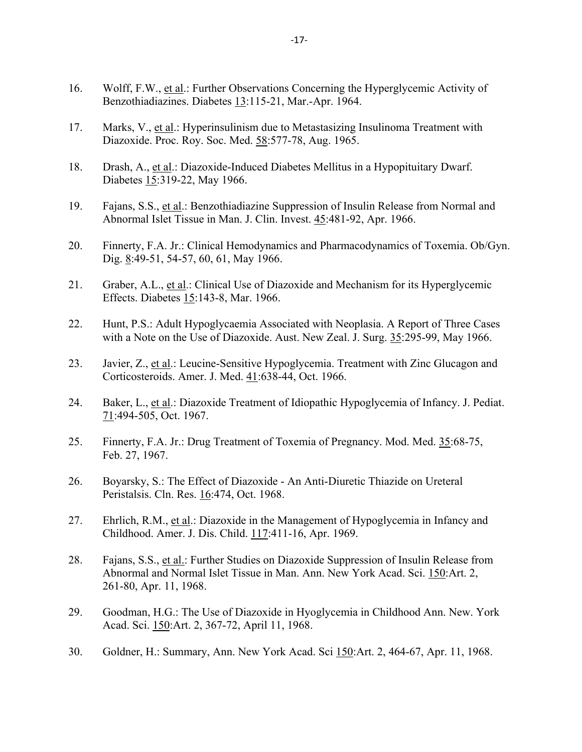- 16. Wolff, F.W., et al.: Further Observations Concerning the Hyperglycemic Activity of Benzothiadiazines. Diabetes 13:115-21, Mar.-Apr. 1964.
- 17. Marks, V., et al.: Hyperinsulinism due to Metastasizing Insulinoma Treatment with Diazoxide. Proc. Roy. Soc. Med. 58:577-78, Aug. 1965.
- 18. Drash, A., et al.: Diazoxide-Induced Diabetes Mellitus in a Hypopituitary Dwarf. Diabetes 15:319-22, May 1966.
- 19. Fajans, S.S., et al.: Benzothiadiazine Suppression of Insulin Release from Normal and Abnormal Islet Tissue in Man. J. Clin. Invest. 45:481-92, Apr. 1966.
- 20. Finnerty, F.A. Jr.: Clinical Hemodynamics and Pharmacodynamics of Toxemia. Ob/Gyn. Dig. 8:49-51, 54-57, 60, 61, May 1966.
- 21. Graber, A.L., et al.: Clinical Use of Diazoxide and Mechanism for its Hyperglycemic Effects. Diabetes 15:143-8, Mar. 1966.
- 22. Hunt, P.S.: Adult Hypoglycaemia Associated with Neoplasia. A Report of Three Cases with a Note on the Use of Diazoxide. Aust. New Zeal. J. Surg. 35:295-99, May 1966.
- 23. Javier, Z., et al.: Leucine-Sensitive Hypoglycemia. Treatment with Zinc Glucagon and Corticosteroids. Amer. J. Med. 41:638-44, Oct. 1966.
- 24. Baker, L., et al.: Diazoxide Treatment of Idiopathic Hypoglycemia of Infancy. J. Pediat. 71:494-505, Oct. 1967.
- 25. Finnerty, F.A. Jr.: Drug Treatment of Toxemia of Pregnancy. Mod. Med. 35:68-75, Feb. 27, 1967.
- 26. Boyarsky, S.: The Effect of Diazoxide An Anti-Diuretic Thiazide on Ureteral Peristalsis. Cln. Res. 16:474, Oct. 1968.
- 27. Ehrlich, R.M., et al.: Diazoxide in the Management of Hypoglycemia in Infancy and Childhood. Amer. J. Dis. Child. 117:411-16, Apr. 1969.
- 28. Fajans, S.S., et al.: Further Studies on Diazoxide Suppression of Insulin Release from Abnormal and Normal Islet Tissue in Man. Ann. New York Acad. Sci. 150:Art. 2, 261-80, Apr. 11, 1968.
- 29. Goodman, H.G.: The Use of Diazoxide in Hyoglycemia in Childhood Ann. New. York Acad. Sci. 150:Art. 2, 367-72, April 11, 1968.
- 30. Goldner, H.: Summary, Ann. New York Acad. Sci 150:Art. 2, 464-67, Apr. 11, 1968.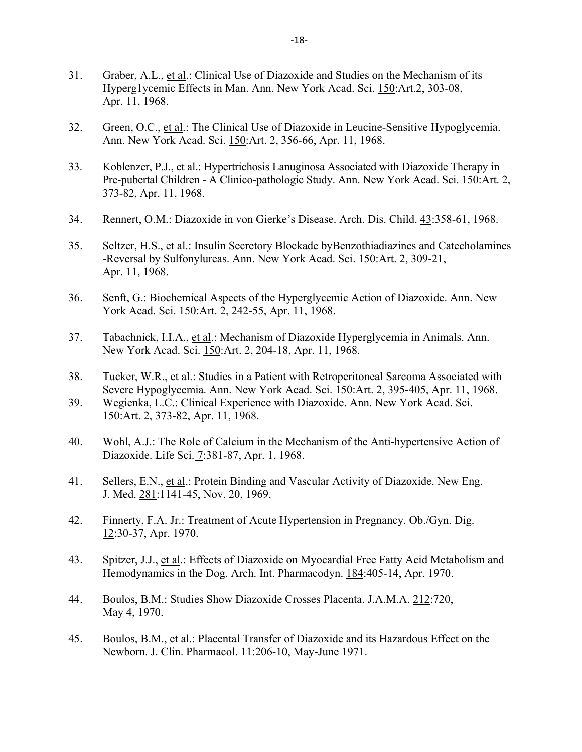- 31. Graber, A.L., et al.: Clinical Use of Diazoxide and Studies on the Mechanism of its Hyperg1ycemic Effects in Man. Ann. New York Acad. Sci. 150:Art.2, 303-08, Apr. 11, 1968.
- 32. Green, O.C., et al.: The Clinical Use of Diazoxide in Leucine-Sensitive Hypoglycemia. Ann. New York Acad. Sci. 150:Art. 2, 356-66, Apr. 11, 1968.
- 33. Koblenzer, P.J., et al.: Hypertrichosis Lanuginosa Associated with Diazoxide Therapy in Pre-pubertal Children - A Clinico-pathologic Study. Ann. New York Acad. Sci. 150:Art. 2, 373-82, Apr. 11, 1968.
- 34. Rennert, O.M.: Diazoxide in von Gierke's Disease. Arch. Dis. Child. 43:358-61, 1968.
- 35. Seltzer, H.S., et al.: Insulin Secretory Blockade byBenzothiadiazines and Catecholamines -Reversal by Sulfonylureas. Ann. New York Acad. Sci. 150:Art. 2, 309-21, Apr. 11, 1968.
- 36. Senft, G.: Biochemical Aspects of the Hyperglycemic Action of Diazoxide. Ann. New York Acad. Sci. 150:Art. 2, 242-55, Apr. 11, 1968.
- 37. Tabachnick, I.I.A., et al.: Mechanism of Diazoxide Hyperglycemia in Animals. Ann. New York Acad. Sci. 150:Art. 2, 204-18, Apr. 11, 1968.
- 38. Tucker, W.R., et al.: Studies in a Patient with Retroperitoneal Sarcoma Associated with Severe Hypoglycemia. Ann. New York Acad. Sci. 150:Art. 2, 395-405, Apr. 11, 1968.
- 39. Wegienka, L.C.: Clinical Experience with Diazoxide. Ann. New York Acad. Sci. 150:Art. 2, 373-82, Apr. 11, 1968.
- 40. Wohl, A.J.: The Role of Calcium in the Mechanism of the Anti-hypertensive Action of Diazoxide. Life Sci. 7:381-87, Apr. 1, 1968.
- 41. Sellers, E.N., et al.: Protein Binding and Vascular Activity of Diazoxide. New Eng. J. Med. 281:1141-45, Nov. 20, 1969.
- 42. Finnerty, F.A. Jr.: Treatment of Acute Hypertension in Pregnancy. Ob./Gyn. Dig. 12:30-37, Apr. 1970.
- 43. Spitzer, J.J., et al.: Effects of Diazoxide on Myocardial Free Fatty Acid Metabolism and Hemodynamics in the Dog. Arch. Int. Pharmacodyn. 184:405-14, Apr. 1970.
- 44. Boulos, B.M.: Studies Show Diazoxide Crosses Placenta. J.A.M.A. 212:720, May 4, 1970.
- 45. Boulos, B.M., et al.: Placental Transfer of Diazoxide and its Hazardous Effect on the Newborn. J. Clin. Pharmacol. 11:206-10, May-June 1971.